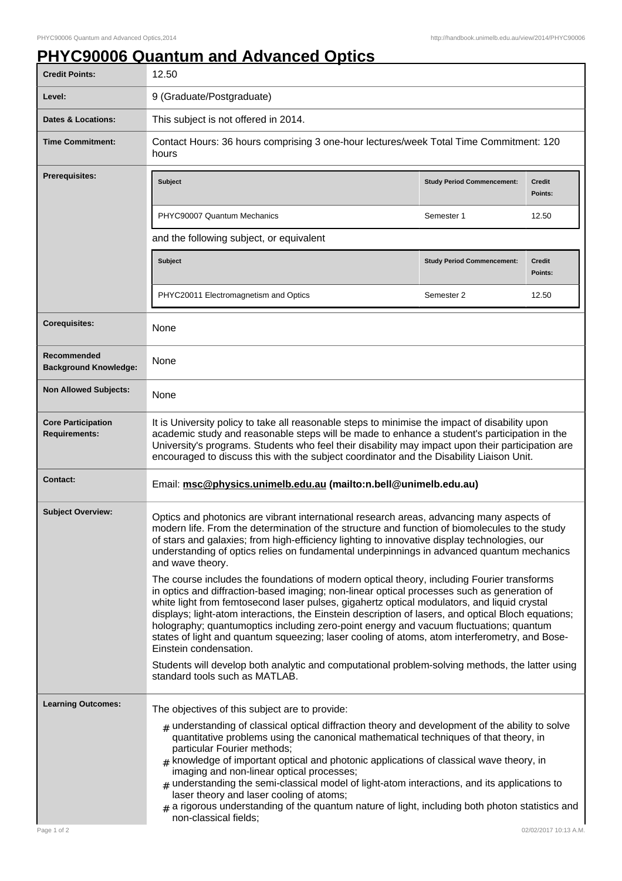## **PHYC90006 Quantum and Advanced Optics**

| <b>Credit Points:</b>                             | 12.50                                                                                                                                                                                                                                                                                                                                                                                                                                                                                                                                                                                                                                              |                                   |                          |
|---------------------------------------------------|----------------------------------------------------------------------------------------------------------------------------------------------------------------------------------------------------------------------------------------------------------------------------------------------------------------------------------------------------------------------------------------------------------------------------------------------------------------------------------------------------------------------------------------------------------------------------------------------------------------------------------------------------|-----------------------------------|--------------------------|
| Level:                                            | 9 (Graduate/Postgraduate)                                                                                                                                                                                                                                                                                                                                                                                                                                                                                                                                                                                                                          |                                   |                          |
| Dates & Locations:                                | This subject is not offered in 2014.                                                                                                                                                                                                                                                                                                                                                                                                                                                                                                                                                                                                               |                                   |                          |
| <b>Time Commitment:</b>                           | Contact Hours: 36 hours comprising 3 one-hour lectures/week Total Time Commitment: 120<br>hours                                                                                                                                                                                                                                                                                                                                                                                                                                                                                                                                                    |                                   |                          |
| <b>Prerequisites:</b>                             | <b>Subject</b>                                                                                                                                                                                                                                                                                                                                                                                                                                                                                                                                                                                                                                     | <b>Study Period Commencement:</b> | <b>Credit</b><br>Points: |
|                                                   | PHYC90007 Quantum Mechanics                                                                                                                                                                                                                                                                                                                                                                                                                                                                                                                                                                                                                        | Semester 1                        | 12.50                    |
|                                                   | and the following subject, or equivalent                                                                                                                                                                                                                                                                                                                                                                                                                                                                                                                                                                                                           |                                   |                          |
|                                                   | <b>Subject</b>                                                                                                                                                                                                                                                                                                                                                                                                                                                                                                                                                                                                                                     | <b>Study Period Commencement:</b> | <b>Credit</b><br>Points: |
|                                                   | PHYC20011 Electromagnetism and Optics                                                                                                                                                                                                                                                                                                                                                                                                                                                                                                                                                                                                              | Semester 2                        | 12.50                    |
| <b>Corequisites:</b>                              | None                                                                                                                                                                                                                                                                                                                                                                                                                                                                                                                                                                                                                                               |                                   |                          |
| Recommended<br><b>Background Knowledge:</b>       | None                                                                                                                                                                                                                                                                                                                                                                                                                                                                                                                                                                                                                                               |                                   |                          |
| <b>Non Allowed Subjects:</b>                      | None                                                                                                                                                                                                                                                                                                                                                                                                                                                                                                                                                                                                                                               |                                   |                          |
| <b>Core Participation</b><br><b>Requirements:</b> | It is University policy to take all reasonable steps to minimise the impact of disability upon<br>academic study and reasonable steps will be made to enhance a student's participation in the<br>University's programs. Students who feel their disability may impact upon their participation are<br>encouraged to discuss this with the subject coordinator and the Disability Liaison Unit.                                                                                                                                                                                                                                                    |                                   |                          |
| <b>Contact:</b>                                   | Email: msc@physics.unimelb.edu.au (mailto:n.bell@unimelb.edu.au)                                                                                                                                                                                                                                                                                                                                                                                                                                                                                                                                                                                   |                                   |                          |
| <b>Subject Overview:</b>                          | Optics and photonics are vibrant international research areas, advancing many aspects of<br>modern life. From the determination of the structure and function of biomolecules to the study<br>of stars and galaxies; from high-efficiency lighting to innovative display technologies, our<br>understanding of optics relies on fundamental underpinnings in advanced quantum mechanics<br>and wave theory.                                                                                                                                                                                                                                        |                                   |                          |
|                                                   | The course includes the foundations of modern optical theory, including Fourier transforms<br>in optics and diffraction-based imaging; non-linear optical processes such as generation of<br>white light from femtosecond laser pulses, gigahertz optical modulators, and liquid crystal<br>displays; light-atom interactions, the Einstein description of lasers, and optical Bloch equations;<br>holography; quantumoptics including zero-point energy and vacuum fluctuations; quantum<br>states of light and quantum squeezing; laser cooling of atoms, atom interferometry, and Bose-<br>Einstein condensation.                               |                                   |                          |
|                                                   | Students will develop both analytic and computational problem-solving methods, the latter using<br>standard tools such as MATLAB.                                                                                                                                                                                                                                                                                                                                                                                                                                                                                                                  |                                   |                          |
| <b>Learning Outcomes:</b>                         | The objectives of this subject are to provide:                                                                                                                                                                                                                                                                                                                                                                                                                                                                                                                                                                                                     |                                   |                          |
|                                                   | $_{\#}$ understanding of classical optical diffraction theory and development of the ability to solve<br>quantitative problems using the canonical mathematical techniques of that theory, in<br>particular Fourier methods;<br>$#$ knowledge of important optical and photonic applications of classical wave theory, in<br>imaging and non-linear optical processes;<br>$#$ understanding the semi-classical model of light-atom interactions, and its applications to<br>laser theory and laser cooling of atoms;<br>$*$ a rigorous understanding of the quantum nature of light, including both photon statistics and<br>non-classical fields; |                                   |                          |